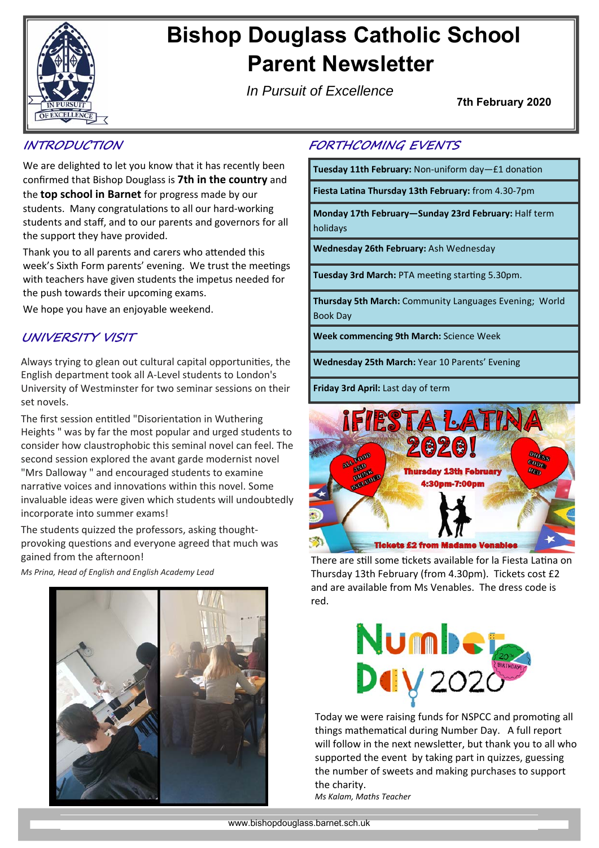

# **Bishop Douglass Catholic School Parent Newsletter**

*In Pursuit of Excellence*

**7th February 2020** 

#### **INTRODUCTION**

We are delighted to let you know that it has recently been confirmed that Bishop Douglass is **7th in the country** and the **top school in Barnet** for progress made by our students. Many congratulations to all our hard-working students and staff, and to our parents and governors for all the support they have provided.

Thank you to all parents and carers who attended this week's Sixth Form parents' evening. We trust the meetings with teachers have given students the impetus needed for the push towards their upcoming exams.

We hope you have an enjoyable weekend.

#### **UNIVERSITY VISIT**

Always trying to glean out cultural capital opportunities, the English department took all A‐Level students to London's University of Westminster for two seminar sessions on their set novels.

The first session entitled "Disorientation in Wuthering Heights " was by far the most popular and urged students to consider how claustrophobic this seminal novel can feel. The second session explored the avant garde modernist novel "Mrs Dalloway " and encouraged students to examine narrative voices and innovations within this novel. Some invaluable ideas were given which students will undoubtedly incorporate into summer exams!

The students quizzed the professors, asking thought‐ provoking questions and everyone agreed that much was gained from the afternoon!

*Ms Prina, Head of English and English Academy Lead* 



#### **FORTHCOMING EVENTS**

Tuesday 11th February: Non-uniform day-£1 donation

**Fiesta LaƟna Thursday 13th February:** from 4.30‐7pm

**Monday 17th February—Sunday 23rd February:** Half term holidays

**Wednesday 26th February:** Ash Wednesday

**Tuesday 3rd March: PTA meeting starting 5.30pm.** 

**Thursday 5th March:** Community Languages Evening; World Book Day

**Week commencing 9th March:** Science Week

**Wednesday 25th March:** Year 10 Parents' Evening

**Friday 3rd April:** Last day of term



There are still some tickets available for la Fiesta Latina on Thursday 13th February (from 4.30pm). Tickets cost £2 and are available from Ms Venables. The dress code is red.



Today we were raising funds for NSPCC and promoting all things mathematical during Number Day. A full report will follow in the next newsletter, but thank you to all who supported the event by taking part in quizzes, guessing the number of sweets and making purchases to support the charity. *Ms Kalam, Maths Teacher*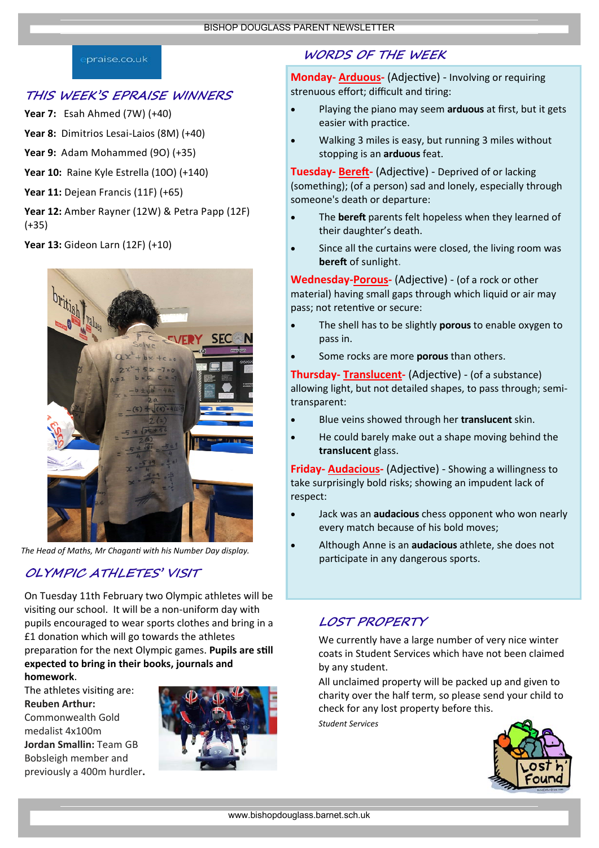#### praise.co.uk

#### **THIS WEEK'S EPRAISE WINNERS**

- **Year 7:** Esah Ahmed (7W) (+40)
- **Year 8:** Dimitrios Lesai‐Laios (8M) (+40)
- **Year 9:** Adam Mohammed (9O) (+35)
- **Year 10:** Raine Kyle Estrella (10O) (+140)
- **Year 11:** Dejean Francis (11F) (+65)
- **Year 12:** Amber Rayner (12W) & Petra Papp (12F) (+35)
- **Year 13:** Gideon Larn (12F) (+10)



*The Head of Maths, Mr ChaganƟ with his Number Day display.* 

## **OLYMPIC ATHLETES' VISIT**

On Tuesday 11th February two Olympic athletes will be visiting our school. It will be a non-uniform day with pupils encouraged to wear sports clothes and bring in a £1 donation which will go towards the athletes preparation for the next Olympic games. **Pupils are still expected to bring in their books, journals and homework**.

The athletes visiting are: **Reuben Arthur:**  Commonwealth Gold medalist 4x100m **Jordan Smallin:** Team GB Bobsleigh member and previously a 400m hurdler**.**



## **WORDS OF THE WEEK**

**Monday- Arduous-** (Adjective) - Involving or requiring strenuous effort; difficult and tiring:

- Playing the piano may seem **arduous** at first, but it gets easier with practice.
- Walking 3 miles is easy, but running 3 miles without stopping is an **arduous** feat.

**Tuesday- Bereft-** (Adjective) - Deprived of or lacking (something); (of a person) sad and lonely, especially through someone's death or departure:

- The **bereft** parents felt hopeless when they learned of their daughter's death.
- Since all the curtains were closed, the living room was **bereft** of sunlight.

**Wednesday-Porous-** (Adjective) - (of a rock or other material) having small gaps through which liquid or air may pass; not retentive or secure:

- The shell has to be slightly **porous** to enable oxygen to pass in.
- Some rocks are more **porous** than others.

**Thursday- Translucent-** (Adjective) - (of a substance) allowing light, but not detailed shapes, to pass through; semi‐ transparent:

- Blue veins showed through her **translucent** skin.
- He could barely make out a shape moving behind the **translucent** glass.

**Friday- Audacious-** (Adjective) - Showing a willingness to take surprisingly bold risks; showing an impudent lack of respect:

- Jack was an **audacious** chess opponent who won nearly every match because of his bold moves;
- Although Anne is an **audacious** athlete, she does not participate in any dangerous sports.

## **LOST PROPERTY**

We currently have a large number of very nice winter coats in Student Services which have not been claimed by any student.

All unclaimed property will be packed up and given to charity over the half term, so please send your child to check for any lost property before this.

*Student Services*